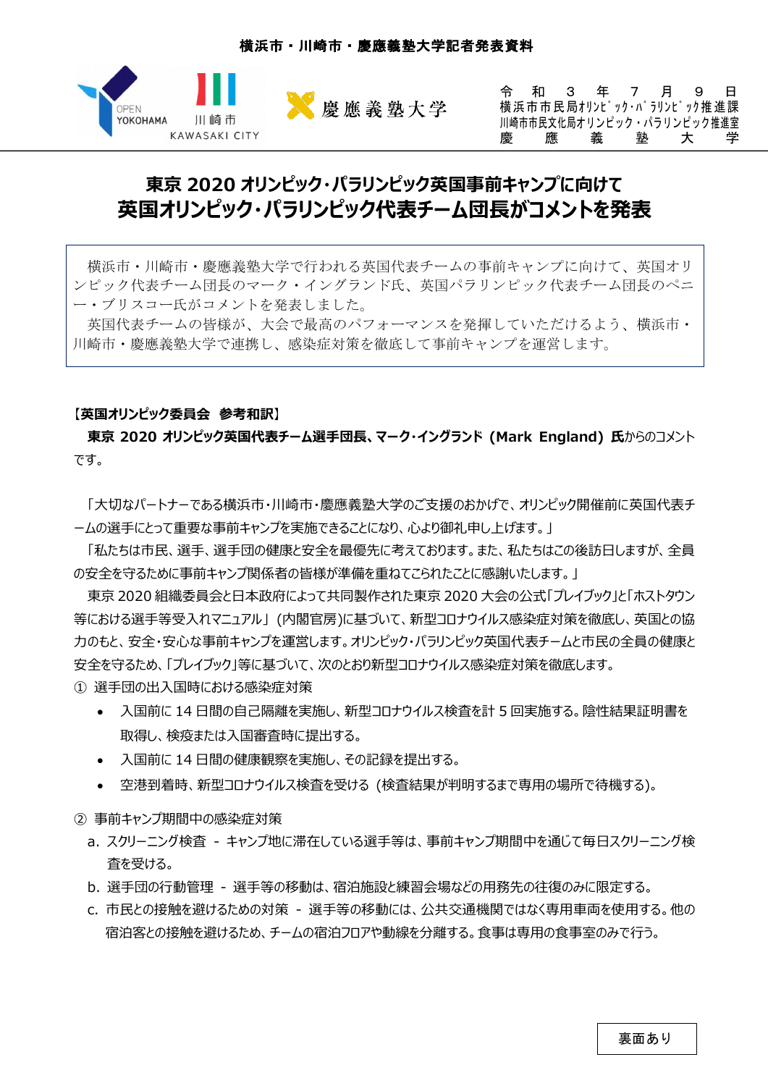

令和3 年 7 月 9 日 横浜市市民局オリンピック・パラリンピック推進課 川崎市市民文化局オリンピック・パラリンピック推進室 慶 應 義 塾 大 学

# **東京 2020 オリンピック・パラリンピック英国事前キャンプに向けて 英国オリンピック・パラリンピック代表チーム団⻑がコメントを発表**

横浜市・川崎市・慶應義塾大学で行われる英国代表チームの事前キャンプに向けて、英国オリ ンピック代表チーム団長のマーク・イングランド氏、英国パラリンピック代表チーム団長のペニ ー・ブリスコー氏がコメントを発表しました。

英国代表チームの皆様が、大会で最高のパフォーマンスを発揮していただけるよう、横浜市・ 川崎市・慶應義塾大学で連携し、感染症対策を徹底して事前キャンプを運営します。

### 【**英国オリンピック委員会 参考和訳**】

**東京 2020 オリンピック英国代表チーム選⼿団⻑、マーク・イングランド (Mark England) ⽒**からのコメント です。

「大切なパートナーである横浜市・川崎市・慶應義塾大学のご支援のおかげで、オリンピック開催前に英国代表チ ームの選手にとって重要な事前キャンプを実施できることになり、心より御礼申し上げます。|

「私たちは市民、選手、選手団の健康と安全を最優先に考えております。また、私たちはこの後訪日しますが、全員 の安全を守るために事前キャンプ関係者の皆様が準備を重ねてこられたことに感謝いたします。」

東京 2020 組織委員会と⽇本政府によって共同製作された東京 2020 ⼤会の公式「プレイブック」と「ホストタウン 等における選⼿等受⼊れマニュアル」 (内閣官房)に基づいて、新型コロナウイルス感染症対策を徹底し、英国との協 力のもと、安全・安心な事前キャンプを運営します。オリンピック・パラリンピック英国代表チームと市民の全員の健康と 安全を守るため、「プレイブック」等に基づいて、次のとおり新型コロナウイルス感染症対策を徹底します。 ① 選⼿団の出⼊国時における感染症対策

- 入国前に 14 日間の自己隔離を実施し、新型コロナウイルス検査を計 5 回実施する。陰性結果証明書を 取得し、検疫または入国審査時に提出する。
- 入国前に 14 日間の健康観察を実施し、その記録を提出する。
- 空港到着時、新型コロナウイルス検査を受ける (検査結果が判明するまで専⽤の場所で待機する)。
- ② 事前キャンプ期間中の感染症対策
	- a. スクリーニング検査 キャンプ地に滞在している選手等は、事前キャンプ期間中を通じて毎日スクリーニング検 査を受ける。
	- b. 選⼿団の⾏動管理 選⼿等の移動は、宿泊施設と練習会場などの⽤務先の往復のみに限定する。
	- c. 市民との接触を避けるための対策 選手等の移動には、公共交通機関ではなく専用車両を使用する。他の 宿泊客との接触を避けるため、チームの宿泊フロアや動線を分離する。食事は専用の食事室のみで行う。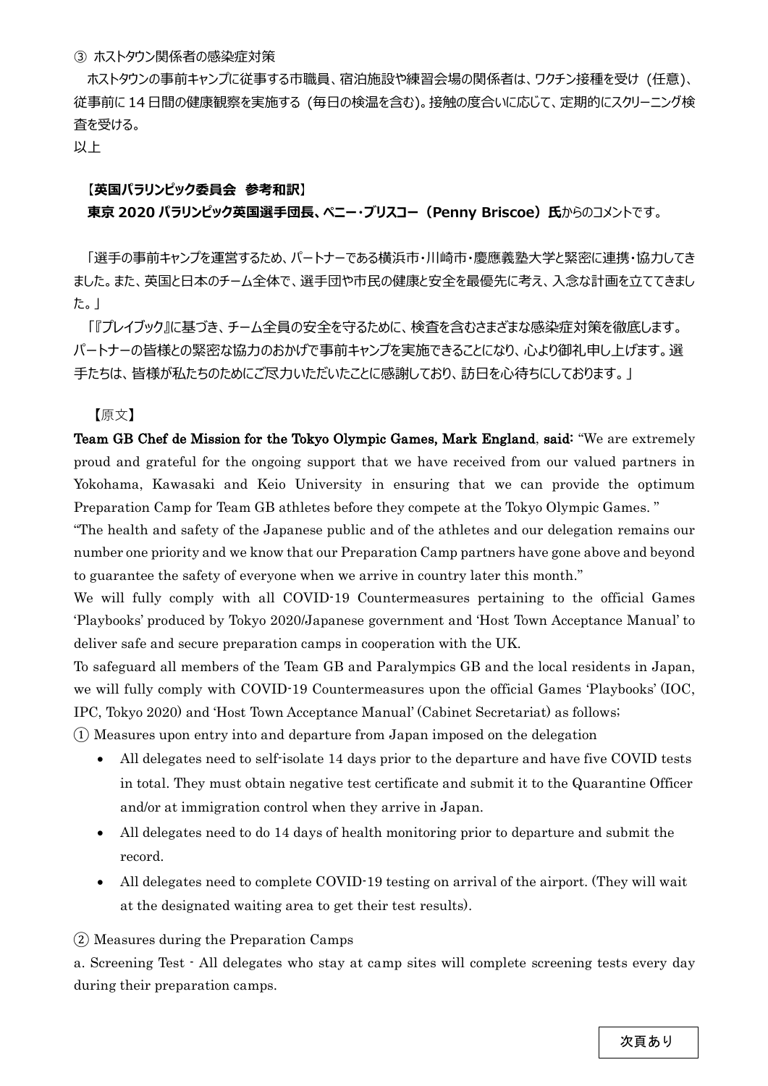#### ③ ホストタウン関係者の感染症対策

ホストタウンの事前キャンプに従事する市職員、宿泊施設や練習会場の関係者は、ワクチン接種を受け (任意)、 従事前に 14 ⽇間の健康観察を実施する (毎⽇の検温を含む)。接触の度合いに応じて、定期的にスクリーニング検 査を受ける。

以上

## 【**英国パラリンピック委員会 参考和訳**】

# **東京 2020 パラリンピック英国選手団長、ペニー・ブリスコー (Penny Briscoe) 氏からのコメントです。**

「選手の事前キャンプを運営するため、パートナーである横浜市・川崎市・慶應義塾大学と緊密に連携・協力してき ました。また、英国と日本のチーム全体で、選手団や市民の健康と安全を最優先に考え、入念な計画を立ててきまし た。」

「『プレイブック』に基づき、チーム全員の安全を守るために、検査を含むさまざまな感染症対策を徹底します。 パートナーの皆様との緊密な協力のおかげで事前キャンプを実施できることになり、心より御礼申し上げます。選 手たちは、皆様が私たちのためにご尽力いただいたことに感謝しており、訪日を心待ちにしております。」

【原⽂】

Team GB Chef de Mission for the Tokyo Olympic Games, Mark England, said: "We are extremely proud and grateful for the ongoing support that we have received from our valued partners in Yokohama, Kawasaki and Keio University in ensuring that we can provide the optimum Preparation Camp for Team GB athletes before they compete at the Tokyo Olympic Games. "

"The health and safety of the Japanese public and of the athletes and our delegation remains our number one priority and we know that our Preparation Camp partners have gone above and beyond to guarantee the safety of everyone when we arrive in country later this month."

We will fully comply with all COVID-19 Countermeasures pertaining to the official Games 'Playbooks' produced by Tokyo 2020/Japanese government and 'Host Town Acceptance Manual' to deliver safe and secure preparation camps in cooperation with the UK.

To safeguard all members of the Team GB and Paralympics GB and the local residents in Japan, we will fully comply with COVID-19 Countermeasures upon the official Games 'Playbooks' (IOC, IPC, Tokyo 2020) and 'Host Town Acceptance Manual' (Cabinet Secretariat) as follows;

① Measures upon entry into and departure from Japan imposed on the delegation

- All delegates need to self-isolate 14 days prior to the departure and have five COVID tests in total. They must obtain negative test certificate and submit it to the Quarantine Officer and/or at immigration control when they arrive in Japan.
- All delegates need to do 14 days of health monitoring prior to departure and submit the record.
- All delegates need to complete COVID-19 testing on arrival of the airport. (They will wait at the designated waiting area to get their test results).

② Measures during the Preparation Camps

a. Screening Test - All delegates who stay at camp sites will complete screening tests every day during their preparation camps.